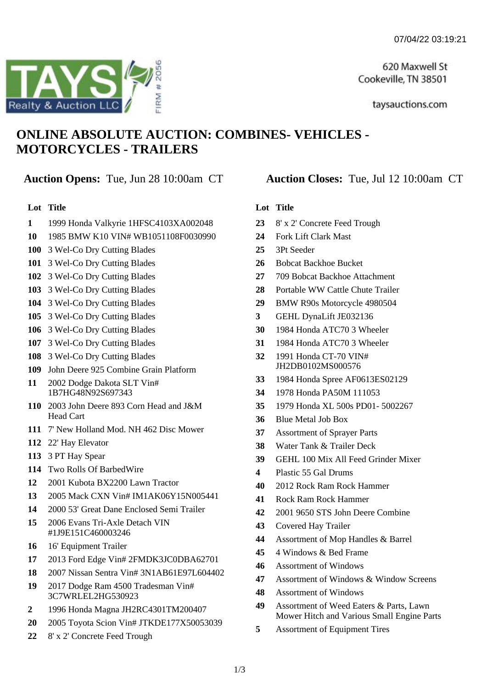620 Maxwell St Cookeville, TN 38501

taysauctions.com

# **ONLINE ABSOLUTE AUCTION: COMBINES- VEHICLES - MOTORCYCLES - TRAILERS**

## **Auction Opens:** Tue, Jun 28 10:00am CT **Auction Closes:** Tue, Jul 12 10:00am CT

#### **Lot Title**

- 1999 Honda Valkyrie 1HFSC4103XA002048
- 1985 BMW K10 VIN# WB1051108F0030990
- 3 Wel-Co Dry Cutting Blades
- 3 Wel-Co Dry Cutting Blades
- 3 Wel-Co Dry Cutting Blades
- 3 Wel-Co Dry Cutting Blades
- 3 Wel-Co Dry Cutting Blades
- 3 Wel-Co Dry Cutting Blades
- 3 Wel-Co Dry Cutting Blades
- 3 Wel-Co Dry Cutting Blades
- 3 Wel-Co Dry Cutting Blades
- John Deere 925 Combine Grain Platform
- 2002 Dodge Dakota SLT Vin# 1B7HG48N92S697343
- 2003 John Deere 893 Corn Head and J&M Head Cart
- 7' New Holland Mod. NH 462 Disc Mower
- 22' Hay Elevator
- 3 PT Hay Spear
- Two Rolls Of BarbedWire
- 2001 Kubota BX2200 Lawn Tractor
- 2005 Mack CXN Vin# IM1AK06Y15N005441
- 2000 53' Great Dane Enclosed Semi Trailer
- 2006 Evans Tri-Axle Detach VIN #1J9E151C460003246
- 16' Equipment Trailer
- 2013 Ford Edge Vin# 2FMDK3JC0DBA62701
- 2007 Nissan Sentra Vin# 3N1AB61E97L604402
- 2017 Dodge Ram 4500 Tradesman Vin# 3C7WRLEL2HG530923
- 1996 Honda Magna JH2RC4301TM200407
- 2005 Toyota Scion Vin# JTKDE177X50053039
- 8' x 2' Concrete Feed Trough

#### **Lot Title**

- 8' x 2' Concrete Feed Trough
- Fork Lift Clark Mast
- 3Pt Seeder
- Bobcat Backhoe Bucket
- 709 Bobcat Backhoe Attachment
- Portable WW Cattle Chute Trailer
- BMW R90s Motorcycle 4980504
- GEHL DynaLift JE032136
- 1984 Honda ATC70 3 Wheeler
- 1984 Honda ATC70 3 Wheeler
- 1991 Honda CT-70 VIN# JH2DB0102MS000576
- 1984 Honda Spree AF0613ES02129
- 1978 Honda PA50M 111053
- 1979 Honda XL 500s PD01- 5002267
- Blue Metal Job Box
- Assortment of Sprayer Parts
- Water Tank & Trailer Deck
- GEHL 100 Mix All Feed Grinder Mixer
- Plastic 55 Gal Drums
- 2012 Rock Ram Rock Hammer
- Rock Ram Rock Hammer
- 2001 9650 STS John Deere Combine
- Covered Hay Trailer
- Assortment of Mop Handles & Barrel
- 4 Windows & Bed Frame
- Assortment of Windows
- Assortment of Windows & Window Screens
- Assortment of Windows
- Assortment of Weed Eaters & Parts, Lawn Mower Hitch and Various Small Engine Parts
- Assortment of Equipment Tires

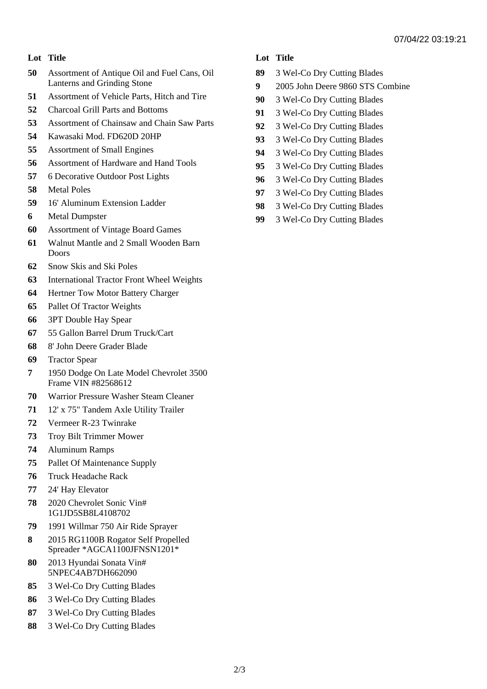#### **Lot Title**

- Assortment of Antique Oil and Fuel Cans, Oil Lanterns and Grinding Stone
- Assortment of Vehicle Parts, Hitch and Tire
- Charcoal Grill Parts and Bottoms
- Assortment of Chainsaw and Chain Saw Parts
- Kawasaki Mod. FD620D 20HP
- Assortment of Small Engines
- Assortment of Hardware and Hand Tools
- 6 Decorative Outdoor Post Lights
- Metal Poles
- 16' Aluminum Extension Ladder
- Metal Dumpster
- Assortment of Vintage Board Games
- Walnut Mantle and 2 Small Wooden Barn Doors
- Snow Skis and Ski Poles
- International Tractor Front Wheel Weights
- Hertner Tow Motor Battery Charger
- Pallet Of Tractor Weights
- 3PT Double Hay Spear
- 55 Gallon Barrel Drum Truck/Cart
- 8' John Deere Grader Blade
- Tractor Spear
- 1950 Dodge On Late Model Chevrolet 3500 Frame VIN #82568612
- Warrior Pressure Washer Steam Cleaner
- 12' x 75" Tandem Axle Utility Trailer
- Vermeer R-23 Twinrake
- Troy Bilt Trimmer Mower
- Aluminum Ramps
- Pallet Of Maintenance Supply
- Truck Headache Rack
- 24' Hay Elevator
- 2020 Chevrolet Sonic Vin# 1G1JD5SB8L4108702
- 1991 Willmar 750 Air Ride Sprayer
- 2015 RG1100B Rogator Self Propelled Spreader \*AGCA1100JFNSN1201\*
- 2013 Hyundai Sonata Vin# 5NPEC4AB7DH662090
- 3 Wel-Co Dry Cutting Blades
- 3 Wel-Co Dry Cutting Blades
- 3 Wel-Co Dry Cutting Blades
- 3 Wel-Co Dry Cutting Blades

#### **Lot Title**

- 3 Wel-Co Dry Cutting Blades
- 2005 John Deere 9860 STS Combine
- 3 Wel-Co Dry Cutting Blades
- 3 Wel-Co Dry Cutting Blades
- 3 Wel-Co Dry Cutting Blades
- 3 Wel-Co Dry Cutting Blades
- 3 Wel-Co Dry Cutting Blades
- 3 Wel-Co Dry Cutting Blades
- 3 Wel-Co Dry Cutting Blades
- 3 Wel-Co Dry Cutting Blades
- 3 Wel-Co Dry Cutting Blades
- 3 Wel-Co Dry Cutting Blades